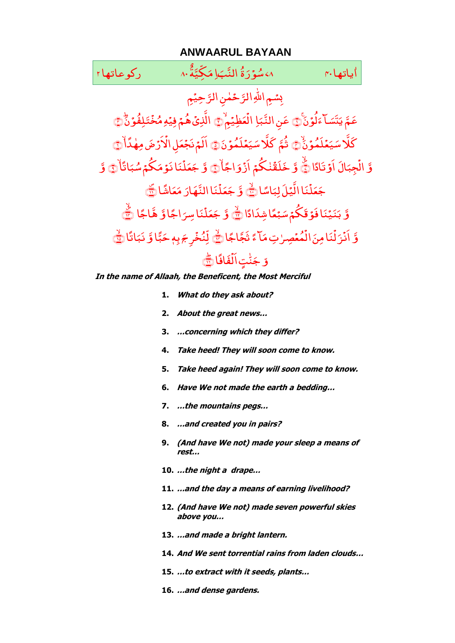# **ANWAARUL BAYAAN**

### ٨، سُوۡرَةُ النَّبَاِ مَكِيَّةُ ٨٠ ٪ مَسۡرِكُوعاتها ٢ َ و<br>س<mark>ۇ</mark>ر َ َّ ال ــ ِ<br>ه ۃ َّ ّکِ ی َ یاتھا بہ مسلم میں اسکیل میں اسلام ۼ اباتها بم

رَّحِیْمِ حَمٰنِ الرَّ سُمِ اللَّهِ التَّ ِ َ و<br>**لۇن** َ آ ءَ <u>َ تَسَ</u> <u>َ</u> عَمَّ يَتَسَاَّءَلُوۡنَۚ۞ عَنِ النَّبَاِ عَنِ النَّبَاِ الْعَظِيَمِ ْ الْعَظِيَمْ َ تَلِ<mark>فُو</mark>ۡنَ ْ الَّذِيَ هُمۡ فِيۡهِ مُخۡتَلِفُوۡنَؕ۞ َ مُلَمُوُنَ **ٔ** ی كَلَا سَيَعۡلَمُوۡنَٰۡ ۞ َ مُلَمُوۡنَ  $\ddot{\phantom{0}}$ ی تُمَّ كَلَّا سَيَعۡلَمُوۡنَ۞ اَلَمۡ نَجۡعَلِ الۡاَرۡضَ مِهٰذَاْ ់<br>៖ ْ اَلَمْ نَجْعَلِ الْأَرْضَ مِهٰذَاْ ٢ وَّ الۡجِبَالَ َ ِج ْ الْجِبَالَ اَوْتَادًا ﴾ وَّ خَلَقَٰنٰكُمۡ خَلَقَٰنٰكُمۡمَ اَزۡوَاجًا َ و ْ اَزْوَاجَاْ۞ وَّ جَعَلْنَا نَوۡمَكُمۡ سُبَاتًا .<br>أ مَكُمْ سُبَ<sup>ّ</sup> .<br>نانۇم ْ مَلَّ جَعَلْنَا نَوۡمَكُمۡ سُبَاتًاۚ۞ وَّ اًسا نَا الَّیُلَ لِبَ<sup>ِ</sup> ْ مَلَّ جَعَلْنَا الَّيۡلَ لِبَاسًا ﴾ وَّ جَعَلۡنَا النَّهَارَ مَعَاشًا ام<br>ا م ا<br>أ نَاالنَّهَارَ ؚ<br>ۣ مَلَّ َ جَعَلْنَا النَّهَارَ مَعَاشًا ١ وَّ بَنَيۡنَا فَوۡ قَكُمۡ سَبۡعًا شِدَادًا َ نَيۡنَا فَوۡ قَكُمۡمَ سَ َ بَنَيۡنَا فَوۡقَكُمۡ سَبۡعًا شِدَادًا ﴾ وَّ جَعَلۡنَا سِرَاجًا وَّ َ نَاسِرَ ْ مَلَّ ؘ<br>֧ جَعَلْنَاسِرَاجًاوَّ هَّاجًا ﴾ ۖ وَّ أَنْزَلْنَا مِنَ الْمُعْصِرٰتِ مَالَّءَ ر<br>مُعۡصِرٰتِ مَ ْ اڑ <sub>نکا</sub>مِنَ ْ ا ِّبُّ  $\tilde{\cdot}$ ؚ<br>ۣ اَنۡزَلۡنَا مِنَ الۡمُعۡصِرٰتِ مَآءً تَجَّاجًا ﴾ لِّنُخۡرِجَ بِهٖ حَبَّا وَّ ≈<br>با ر <del>ب</del>َم دِم حَ <u>់</u> لِّنُخۡرِجَ بِهٖ حَبًّا وَّ نَبَاتًا .<br>أ نَبَانًا <mark>﴾</mark> وّ جَنّٰتٍ اَلۡفَافَا ْ َا ت ٍ ّ ل ۼ َ جَنّْتِ الْفَافَا ۞

**In the name of Allaah, the Beneficent, the Most Merciful** 

- **1. What do they ask about?**
- **2. About the great news…**
- **3. …concerning which they differ?**
- **4. Take heed! They will soon come to know.**
- **5. Take heed again! They will soon come to know.**
- **6. Have We not made the earth a bedding…**
- **7. …the mountains pegs…**
- **8. …and created you in pairs?**
- **9. (And have We not) made your sleep a means of rest…**
- **10. …the night a drape…**
- **11. …and the day a means of earning livelihood?**
- **12. (And have We not) made seven powerful skies above you…**
- **13. …and made a bright lantern.**
- **14. And We sent torrential rains from laden clouds…**
- **15. …to extract with it seeds, plants…**
- **16. …and dense gardens.**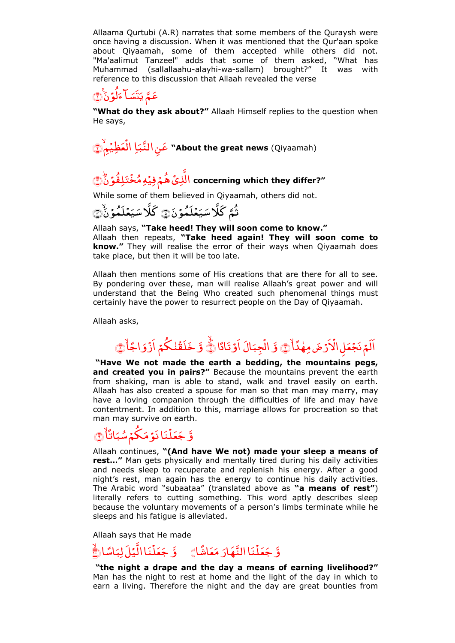Allaama Qurtubi (A.R) narrates that some members of the Quraysh were once having a discussion. When it was mentioned that the Qur'aan spoke about Qiyaamah, some of them accepted while others did not. "Ma'aalimut Tanzeel" adds that some of them asked, "What has Muhammad (sallallaahu-alayhi-wa-sallam) brought?" It was with reference to this discussion that Allaah revealed the verse

### َ و<br>**لۇن** ٔ ] ءَ .<br>نتسَــ َ عَمَّ يَتَسَاّ ءَلَوۡنَۚ ۞

**"What do they ask about?"** Allaah Himself replies to the question when He says,

ِا عَنِ النَّبَاِ الْعَظِيْمِ ْ ﴾۲﴿ۙ ا**" About the great news** (Qiyaamah)

# ا تَلِ<mark>فُو</mark>ۡنَ ؙؚ ُ ِ م ۡ ِ ی ْ ُ ۡ ﴾۳﴿ؕ اَِّ **concerning which they differ?"**

While some of them believed in Qiyaamah, others did not.

َ مُلَمُوُنَ  $\ddot{\phantom{0}}$ ی َكْلَا سَيَعۡلَمُوۡنَٰۡ ۞ َ مُلَمُوۡنَ  $\ddot{\phantom{0}}$ ی ثَمَّ كَلَا سَيَعۡلَمُوۡنَ۞

Allaah says, **"Take heed! They will soon come to know."**  Allaah then repeats, **"Take heed again! They will soon come to know."** They will realise the error of their ways when Qiyaamah does take place, but then it will be too late.

Allaah then mentions some of His creations that are there for all to see. By pondering over these, man will realise Allaah's great power and will understand that the Being Who created such phenomenal things must certainly have the power to resurrect people on the Day of Qiyaamah.

Allaah asks,

#### رُضَ مِهٰدًا ؚ<br>ۣ ْ اَلَمْ نَجْعَلِ الْأَرْضَ مِهٰذَاْنَ ۚ وَ الْجِبَالَ َ ِج ْ الْجِبَالَ اَوْتَادًا ﴾ وَّ خَلَقَٰنٰكُمْ خَلَقَٰنٰكُمُ اَزْوَاجًا َ و ْ أَزْوَاجًا۞

**"Have We not made the earth a bedding, the mountains pegs, and created you in pairs?"** Because the mountains prevent the earth from shaking, man is able to stand, walk and travel easily on earth. Allaah has also created a spouse for man so that man may marry, may have a loving companion through the difficulties of life and may have contentment. In addition to this, marriage allows for procreation so that man may survive on earth.

## وَّ جَعَلۡنَا نَوۡمَكُمۡ سُبَاتَاۙ .<br>أ مَكُمْ سُبَ<sup>ّ</sup> .<br>نانۇم ؙؚ مَلَّ َ جَعَلْنَا نَوۡ مَكُمۡ شُبَاتًاۚ ﴾

Allaah continues, **"(And have We not) made your sleep a means of rest…"** Man gets physically and mentally tired during his daily activities and needs sleep to recuperate and replenish his energy. After a good night's rest, man again has the energy to continue his daily activities. The Arabic word "subaataa" (translated above as **"a means of rest"**) literally refers to cutting something. This word aptly describes sleep because the voluntary movements of a person's limbs terminate while he sleeps and his fatigue is alleviated.

Allaah says that He made

#### وَّ جَعَلْنَا الَّيۡلَ لِبَاسًا <sub>نَـ</sub>االَّیۡلَالِ<mark>ب</mark>َ ْ مَلَّ ؘ<br>֧ وَّ جَعَلْنَا النَّهَارَ مَعَاشًا $\ket$  وَّ جَعَلْنَا الَّيْلَ لِبَاسًا ام<br>ا م ا<br>ا نَا النَّهَارَ ْ مَلَّ ؘ<br>֧ ج

**"the night a drape and the day a means of earning livelihood?"**  Man has the night to rest at home and the light of the day in which to earn a living. Therefore the night and the day are great bounties from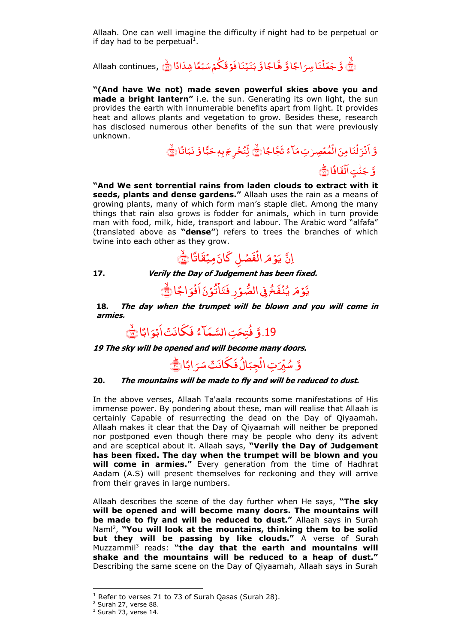Allaah. One can well imagine the difficulty if night had to be perpetual or if day had to be perpetual<sup>1</sup>.

وَّ جَعَلْنَا سِرَاجًا وَّ هَّاجًا وَّ بَنَيۡنَا فَوۡ قَكُمۡ سَبۡعًا شِدَادًا ۞ ِ Allaah continues َ نَاسِرَ ؚ<br>؛ َ لَّ وَّ جَعَلْنَا سِرَاجًا وَ هَّاجًا

**"(And have We not) made seven powerful skies above you and made a bright lantern"** i.e. the sun. Generating its own light, the sun provides the earth with innumerable benefits apart from light. It provides heat and allows plants and vegetation to grow. Besides these, research has disclosed numerous other benefits of the sun that were previously unknown.

# وَّ اَنْزَلْنَا مِنَ الْمُعْصِرٰتِ مَاْءً ْ نَا مِنَ الْ ْ اَنۡزَلۡنَا مِنَ الۡمُعۡصِرٰتِ مَآءً تَجَّاجًا کَ لِّنُخۡرِجَ بِهٖ حَبَّا وَّ لِّنُخۡرِجَ بِهٖ حَبَّا وَّ نَبَاتًا َ نَبَاتًا ۞ وَّ جَنَّتٍ ا<mark>َلۡفَاف</mark>َا ْ جَنُّتٍ ال**ُفَافَ**اتِ ۖ ۼ

**"And We sent torrential rains from laden clouds to extract with it seeds, plants and dense gardens."** Allaah uses the rain as a means of growing plants, many of which form man's staple diet. Among the many things that rain also grows is fodder for animals, which in turn provide man with food, milk, hide, transport and labour. The Arabic word "alfafa" (translated above as **"dense"**) refers to trees the branches of which twine into each other as they grow.

اِنَّ يَوْمَ الْفَصْلِ كَانَ مِيْقَاتًا ْ اڑ ا<br>م .<br>و م اب<br>ا یَوۡ مَرِ الۡفَصۡلِ کَانَ مِیۡقَاتًا ﷺ

**17. Verily the Day of Judgement has been fixed.**

#### جا ً و <u>់</u> َ َ و<br>تۇن ۔<br>' فَخُ فِي الصُّوَرِ فَتَأ ؚ<br>ؙ ل **ُ** ی يَّوۡمَ يُنۡفَخُ فِى الصُّوۡرِ فَتَأْتُوۡنَ اَفُوَاجًا لَنَّ

َ ام<br>ا **18. The day when the trumpet will be blown and you will come in armies.**

> .19 َّ و ُ فُتِحَتِ السَّمَاكُ فَكَانَتُ اَبْوَابًا َ فَكَانَتْ اَبْوَابًا ١

**19 The sky will be opened and will become many doors.**

وَّ سُيِّرَتِ الْجِبَالُ فَكَانَتْ سَرَابًا َ ل َ الُ فَكَانَتْ سَ َ ِج ٔ<br>• ِ ا سُّيِّرَتِ الْجِبَالُ فَكَانَتْ سَرَابًا (<u>﴾</u>

# **20. The mountains will be made to fly and will be reduced to dust.**

In the above verses, Allaah Ta'aala recounts some manifestations of His immense power. By pondering about these, man will realise that Allaah is certainly Capable of resurrecting the dead on the Day of Qiyaamah. Allaah makes it clear that the Day of Qiyaamah will neither be preponed nor postponed even though there may be people who deny its advent and are sceptical about it. Allaah says, **"Verily the Day of Judgement has been fixed. The day when the trumpet will be blown and you will come in armies."** Every generation from the time of Hadhrat Aadam (A.S) will present themselves for reckoning and they will arrive from their graves in large numbers.

Allaah describes the scene of the day further when He says, **"The sky will be opened and will become many doors. The mountains will be made to fly and will be reduced to dust."** Allaah says in Surah Naml<sup>2</sup> , **"You will look at the mountains, thinking them to be solid but they will be passing by like clouds."** A verse of Surah Muzzammil<sup>3</sup> reads: "the day that the earth and mountains will **shake and the mountains will be reduced to a heap of dust."**  Describing the same scene on the Day of Qiyaamah, Allaah says in Surah

-

 $1$  Refer to verses 71 to 73 of Surah Qasas (Surah 28).

<sup>2</sup> Surah 27, verse 88.

<sup>&</sup>lt;sup>3</sup> Surah 73, verse 14.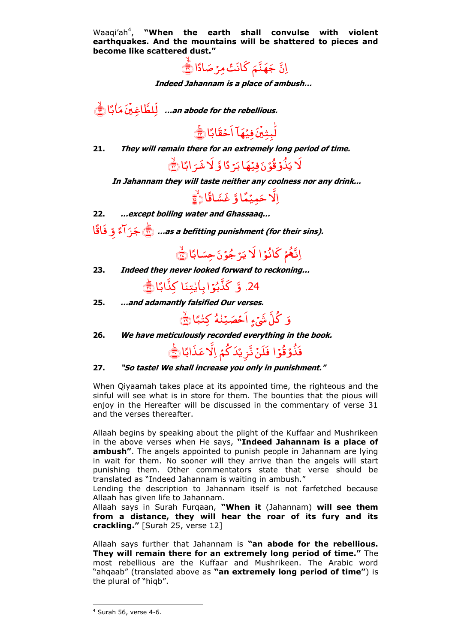Waaqi'ah<sup>4</sup>, "When the earth shall convulse with violent **earthquakes. And the mountains will be shattered to pieces and become like scattered dust."**

اِنَّ جَهَنَّمَ كَانَتْ مِرْصَادًا <sub>ِ</sub><br>قَنَّمَ كَانَتْ مِرْصَ َ جَهَنَّمَ كَانَتْ مِرْ صَادًا ۞

**Indeed Jahannam is a place of ambush…**

ًا ب ا ۼ ٔ م م َ .<br>, َّطا ِغۡی ﴾۲۲ ۙ ﴿ ِّا**... an abode for the rebellious.**

.<br>ب نَ فِي<mark>نَهَ</mark>ا .<br>, لّٰبِثِينَ فِيُهَآ اَحۡقَابًا (٢٤ ۼ

**21. They will remain there for an extremely long period of time.**

ژدًا وَّ َ نَ فِيُهَا <sub>ب</sub>َ لَا يَذُوۡقُوۡنَ فِيُهَا بَرۡ دًّا وَّ لَا شَرَابًا (صَلَ ر<br>..

**In Jahannam they will taste neither any coolness nor any drink...**

اِلَّا حَمِيۡمَّاوَّ غَسَّاقًا﴿ ۖ

**22. …except boiling water and Ghassaaq…**

 ًٓا اب<br>ا ั้ง َ ّ <sup>ج</sup> ِ و ا ً اق َ ﴾۲۶ ؕ ﴿ **…as a befitting punishment (for their sins).**

> اِنَّهُمْ كَانُوۡا لَا يَرۡجُوۡنَ حِسَابًا َ نَ حِسَـ ز جُ<mark>وُ</mark>نَ **َلَا يَرَجُوۡنَ حِسَابًا** ﷺ

**23. Indeed they never looked forward to reckoning…**

24. وَ كَذَّبُوۡا بِاٰيٰتِنَا كِذَّابًا هِ ۖ ۼ

**25. …and adamantly falsified Our verses.**

َ وَ كُلَّ شَيۡءٍ اَحۡصَیۡنٰهُ كِتٰبًا **∫** اَحْصَيۡنٰهُ كِتٰبًا ﴾

**26. We have meticulously recorded everything in the book.**

فَذُوۡ قُوۡا فَلَنۡ تَّزِيۡدَ كُمۡ اِلَّا عَذَابَااتَنَ

**27. "So taste! We shall increase you only in punishment."** 

When Qiyaamah takes place at its appointed time, the righteous and the sinful will see what is in store for them. The bounties that the pious will enjoy in the Hereafter will be discussed in the commentary of verse 31 and the verses thereafter.

Allaah begins by speaking about the plight of the Kuffaar and Mushrikeen in the above verses when He says, **"Indeed Jahannam is a place of ambush"**. The angels appointed to punish people in Jahannam are lying in wait for them. No sooner will they arrive than the angels will start punishing them. Other commentators state that verse should be translated as "Indeed Jahannam is waiting in ambush."

Lending the description to Jahannam itself is not farfetched because Allaah has given life to Jahannam.

Allaah says in Surah Furqaan, **"When it** (Jahannam) **will see them from a distance, they will hear the roar of its fury and its crackling."** [Surah 25, verse 12]

Allaah says further that Jahannam is **"an abode for the rebellious. They will remain there for an extremely long period of time."** The most rebellious are the Kuffaar and Mushrikeen. The Arabic word "ahqaab" (translated above as **"an extremely long period of time"**) is the plural of "hiqb".

<sup>4</sup> Surah 56, verse 4-6.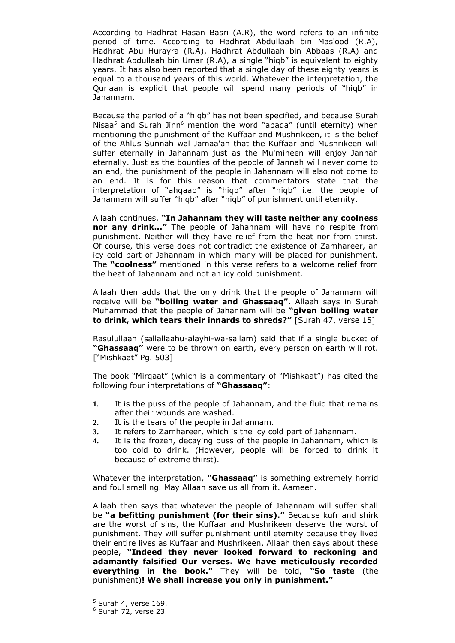According to Hadhrat Hasan Basri (A.R), the word refers to an infinite period of time. According to Hadhrat Abdullaah bin Mas'ood (R.A), Hadhrat Abu Hurayra (R.A), Hadhrat Abdullaah bin Abbaas (R.A) and Hadhrat Abdullaah bin Umar (R.A), a single "hiqb" is equivalent to eighty years. It has also been reported that a single day of these eighty years is equal to a thousand years of this world. Whatever the interpretation, the Qur'aan is explicit that people will spend many periods of "hiqb" in Jahannam.

Because the period of a "hiqb" has not been specified, and because Surah Nisaa<sup>5</sup> and Surah Jinn<sup>6</sup> mention the word "abada" (until eternity) when mentioning the punishment of the Kuffaar and Mushrikeen, it is the belief of the Ahlus Sunnah wal Jamaa'ah that the Kuffaar and Mushrikeen will suffer eternally in Jahannam just as the Mu'mineen will enjoy Jannah eternally. Just as the bounties of the people of Jannah will never come to an end, the punishment of the people in Jahannam will also not come to an end. It is for this reason that commentators state that the interpretation of "ahqaab" is "hiqb" after "hiqb" i.e. the people of Jahannam will suffer "hiqb" after "hiqb" of punishment until eternity.

Allaah continues, **"In Jahannam they will taste neither any coolness nor any drink..."** The people of Jahannam will have no respite from punishment. Neither will they have relief from the heat nor from thirst. Of course, this verse does not contradict the existence of Zamhareer, an icy cold part of Jahannam in which many will be placed for punishment. The **"coolness"** mentioned in this verse refers to a welcome relief from the heat of Jahannam and not an icy cold punishment.

Allaah then adds that the only drink that the people of Jahannam will receive will be **"boiling water and Ghassaaq"**. Allaah says in Surah Muhammad that the people of Jahannam will be **"given boiling water to drink, which tears their innards to shreds?"** [Surah 47, verse 15]

Rasulullaah (sallallaahu-alayhi-wa-sallam) said that if a single bucket of **"Ghassaaq"** were to be thrown on earth, every person on earth will rot. ["Mishkaat" Pg. 503]

The book "Mirqaat" (which is a commentary of "Mishkaat") has cited the following four interpretations of **"Ghassaaq"**:

- **1.** It is the puss of the people of Jahannam, and the fluid that remains after their wounds are washed.
- **2.** It is the tears of the people in Jahannam.
- **3.** It refers to Zamhareer, which is the icy cold part of Jahannam.
- **4.** It is the frozen, decaying puss of the people in Jahannam, which is too cold to drink. (However, people will be forced to drink it because of extreme thirst).

Whatever the interpretation, **"Ghassaaq"** is something extremely horrid and foul smelling. May Allaah save us all from it. Aameen.

Allaah then says that whatever the people of Jahannam will suffer shall be **"a befitting punishment (for their sins)."** Because kufr and shirk are the worst of sins, the Kuffaar and Mushrikeen deserve the worst of punishment. They will suffer punishment until eternity because they lived their entire lives as Kuffaar and Mushrikeen. Allaah then says about these people, **"Indeed they never looked forward to reckoning and adamantly falsified Our verses. We have meticulously recorded everything in the book."** They will be told, **"So taste** (the punishment)**! We shall increase you only in punishment."** 

<sup>5</sup> Surah 4, verse 169.

 $<sup>6</sup>$  Surah 72, verse 23.</sup>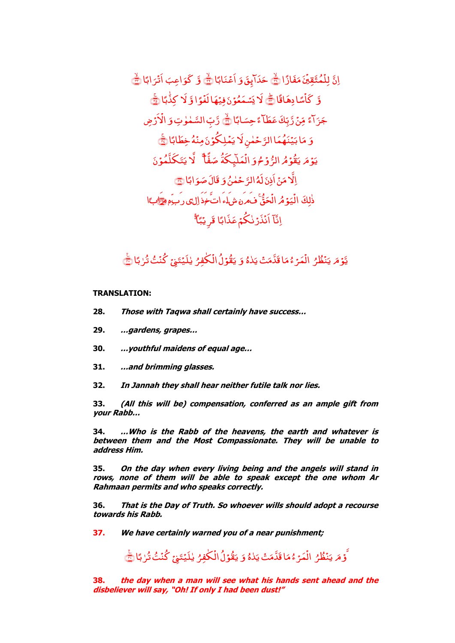اِنَّ لِ<mark>لۡمُتَّقِيَّنَ مَفَا</mark>زًا **:** مُتَّقِيَّنَ ْ لِلْمُتَّقِينَ مَفَازًا لَمَّ حَدَابِقَ وَ اَعْنَابًا لَمَّ وَّ كَوَاعِبَ اَثْرَابًا ا<br>ا اَثَرَابًا ﴾ وَّ كَأْسًا دِهَاقًا ۡ كَأْسًا دِهَاقًا ﴾ لَا يَسۡمَعُوۡنَ فِيُهَا لَغُوَّا وَّ لَا يَسۡمَعُوۡنَ فِيۡهَا لَغُوٗا وَّ لَا كِذَٰٓبًا ١ ۼ جَزَاءً مِّنۡ رَّبِّكَ عَطَآءً حِسَابًا مِّنۡ رَّبِّكَ عَطَآءً حِسَابًا ۖ وَّ رِّ السَّمٰوٰتِ وَ الۡاَرۡ صِ ْ الا وَ مَا بَيۡنَهُمَا الرَّحۡمٰنِ لَا يَمۡلِكُوۡنَ مِنۡهُ خِطَابًا لَیَّے یَوۡمَ یَقُوۡمُ الرُّوۡمُوَ الۡمَلَّٰہِکَۃُ ْ الۡمَلَّبِكَٰۃُ صَفَّا ۗ لَّا يَتَكَلَّمُوۡنَ اِلَّا مَنۡ اَذِنَ لَهُ الرَّحۡمٰنُ وَ قَالَ صَوَابًا َ قَالَ صَوَابًا <mark>ک</mark> ذٰلِكَ الْيَوۡمُ الۡحَقَّ ۼ ْ يَ<mark>و</mark>ۡهُ الۡ ْ الْيَهُ مُرِ الْحَقُّ فِيمِرِهِ مِبْرِياءِ اتِّخِذَ إِلِي دِ بِيهِ وَقِرَاتِيَا ۖ ِ<br>ب اِنَّآ اَنۡذَرۡنٰکُمۡ عَذَابًا قَرِیۡبَٱٓۚ ۼ

### ُ يَّوْمَ يَنْظُرُ الْمَرْءُمَا قَدَّمَتْ يَدْهُ ْ الۡمَرۡ ۡمَا قَدَّمَتۡ يَدٰهُ وَ يَقُوۡلُ الۡكٰٰفِرُ يٰلَيۡتَنِىۡ كُنۡتُ تُرٰبَّا ُ ِ ل ک ۼ ْ يَقُوْلُ الْكَفِرُ يٰلَيۡتَنِىۡ كُنۡتُ تُرٰبَآٰ ۖ

# **TRANSLATION:**

- **28. Those with Taqwa shall certainly have success…**
- **29. …gardens, grapes…**
- **30. …youthful maidens of equal age…**
- **31. …and brimming glasses.**
- **32. In Jannah they shall hear neither futile talk nor lies.**

**33. (All this will be) compensation, conferred as an ample gift from your Rabb…**

**34. …Who is the Rabb of the heavens, the earth and whatever is between them and the Most Compassionate. They will be unable to address Him.**

**35. On the day when every living being and the angels will stand in rows, none of them will be able to speak except the one whom Ar Rahmaan permits and who speaks correctly.**

**36. That is the Day of Truth. So whoever wills should adopt a recourse towards his Rabb.**

**37. We have certainly warned you of a near punishment;** 

َّ ُ ۇمَ يَنْظُرُ الْمَرْءُمَا قَدَّمَتْ يَلاهُ ْ الۡمَرۡ ۡمَا قَدَّمَتۡ يَدٰهُ وَ يَقُوۡلُ الۡكٰٰفِرُ يٰلَيۡتَنِىۡ كُنۡتُ تُرٰبَّا ُ ِ ل ک ۼ ْ يَقُوْلُ الْكَفِرُ يٰلَيۡتَنِىٰٓ كُنۡتُ تُرٰبَآٰ ۖ

**38. the day when a man will see what his hands sent ahead and the disbeliever will say, "Oh! If only I had been dust!"**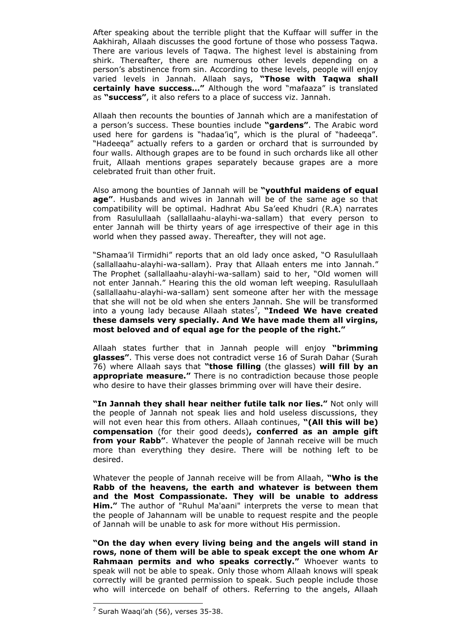After speaking about the terrible plight that the Kuffaar will suffer in the Aakhirah, Allaah discusses the good fortune of those who possess Taqwa. There are various levels of Taqwa. The highest level is abstaining from shirk. Thereafter, there are numerous other levels depending on a person's abstinence from sin. According to these levels, people will enjoy varied levels in Jannah. Allaah says, **"Those with Taqwa shall certainly have success…"** Although the word "mafaaza" is translated as **"success"**, it also refers to a place of success viz. Jannah.

Allaah then recounts the bounties of Jannah which are a manifestation of a person's success. These bounties include **"gardens"**. The Arabic word used here for gardens is "hadaa'iq", which is the plural of "hadeeqa". "Hadeeqa" actually refers to a garden or orchard that is surrounded by four walls. Although grapes are to be found in such orchards like all other fruit, Allaah mentions grapes separately because grapes are a more celebrated fruit than other fruit.

Also among the bounties of Jannah will be **"youthful maidens of equal age"**. Husbands and wives in Jannah will be of the same age so that compatibility will be optimal. Hadhrat Abu Sa'eed Khudri (R.A) narrates from Rasulullaah (sallallaahu-alayhi-wa-sallam) that every person to enter Jannah will be thirty years of age irrespective of their age in this world when they passed away. Thereafter, they will not age.

"Shamaa'il Tirmidhi" reports that an old lady once asked, "O Rasulullaah (sallallaahu-alayhi-wa-sallam). Pray that Allaah enters me into Jannah." The Prophet (sallallaahu-alayhi-wa-sallam) said to her, "Old women will not enter Jannah." Hearing this the old woman left weeping. Rasulullaah (sallallaahu-alayhi-wa-sallam) sent someone after her with the message that she will not be old when she enters Jannah. She will be transformed into a young lady because Allaah states<sup>7</sup>, "Indeed We have created **these damsels very specially. And We have made them all virgins, most beloved and of equal age for the people of the right."** 

Allaah states further that in Jannah people will enjoy **"brimming glasses"**. This verse does not contradict verse 16 of Surah Dahar (Surah 76) where Allaah says that **"those filling** (the glasses) **will fill by an appropriate measure."** There is no contradiction because those people who desire to have their glasses brimming over will have their desire.

**"In Jannah they shall hear neither futile talk nor lies."** Not only will the people of Jannah not speak lies and hold useless discussions, they will not even hear this from others. Allaah continues, **"(All this will be) compensation** (for their good deeds)**, conferred as an ample gift from your Rabb"**. Whatever the people of Jannah receive will be much more than everything they desire. There will be nothing left to be desired.

Whatever the people of Jannah receive will be from Allaah, **"Who is the Rabb of the heavens, the earth and whatever is between them and the Most Compassionate. They will be unable to address Him."** The author of "Ruhul Ma'aani" interprets the verse to mean that the people of Jahannam will be unable to request respite and the people of Jannah will be unable to ask for more without His permission.

**"On the day when every living being and the angels will stand in rows, none of them will be able to speak except the one whom Ar Rahmaan permits and who speaks correctly."** Whoever wants to speak will not be able to speak. Only those whom Allaah knows will speak correctly will be granted permission to speak. Such people include those who will intercede on behalf of others. Referring to the angels, Allaah

 $<sup>7</sup>$  Surah Waaqi'ah (56), verses 35-38.</sup>